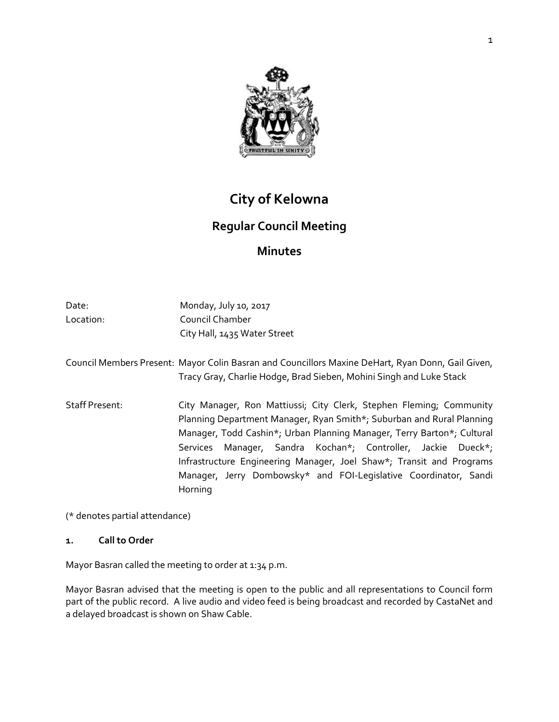

# **City of Kelowna**

## **Regular Council Meeting**

## **Minutes**

| Date:                 | Monday, July 10, 2017                                                                                                                                                                                                                                                                                                                                                                                                                         |
|-----------------------|-----------------------------------------------------------------------------------------------------------------------------------------------------------------------------------------------------------------------------------------------------------------------------------------------------------------------------------------------------------------------------------------------------------------------------------------------|
| Location:             | Council Chamber                                                                                                                                                                                                                                                                                                                                                                                                                               |
|                       | City Hall, 1435 Water Street                                                                                                                                                                                                                                                                                                                                                                                                                  |
|                       | Council Members Present: Mayor Colin Basran and Councillors Maxine DeHart, Ryan Donn, Gail Given,<br>Tracy Gray, Charlie Hodge, Brad Sieben, Mohini Singh and Luke Stack                                                                                                                                                                                                                                                                      |
| <b>Staff Present:</b> | City Manager, Ron Mattiussi; City Clerk, Stephen Fleming; Community<br>Planning Department Manager, Ryan Smith*; Suburban and Rural Planning<br>Manager, Todd Cashin*; Urban Planning Manager, Terry Barton*; Cultural<br>Services Manager, Sandra Kochan*; Controller, Jackie Dueck*;<br>Infrastructure Engineering Manager, Joel Shaw*; Transit and Programs<br>Manager, Jerry Dombowsky* and FOI-Legislative Coordinator, Sandi<br>Horning |

(\* denotes partial attendance)

## **1. Call to Order**

Mayor Basran called the meeting to order at 1:34 p.m.

Mayor Basran advised that the meeting is open to the public and all representations to Council form part of the public record. A live audio and video feed is being broadcast and recorded by CastaNet and a delayed broadcast is shown on Shaw Cable.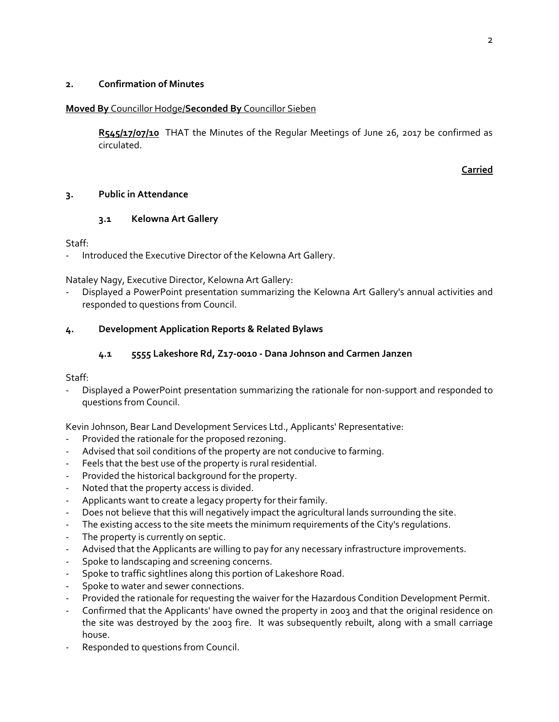#### **2. Confirmation of Minutes**

#### **Moved By** Councillor Hodge/**Seconded By** Councillor Sieben

**R545/17/07/10** THAT the Minutes of the Regular Meetings of June 26, 2017 be confirmed as circulated.

#### **Carried**

### **3. Public in Attendance**

## **3.1 Kelowna Art Gallery**

Staff:

Introduced the Executive Director of the Kelowna Art Gallery.

Nataley Nagy, Executive Director, Kelowna Art Gallery:

- Displayed a PowerPoint presentation summarizing the Kelowna Art Gallery's annual activities and responded to questions from Council.

## **4. Development Application Reports & Related Bylaws**

## **4.1 5555 Lakeshore Rd, Z17-0010 - Dana Johnson and Carmen Janzen**

Staff:

- Displayed a PowerPoint presentation summarizing the rationale for non-support and responded to questions from Council.

Kevin Johnson, Bear Land Development Services Ltd., Applicants' Representative:

- Provided the rationale for the proposed rezoning.
- Advised that soil conditions of the property are not conducive to farming.
- Feels that the best use of the property is rural residential.
- Provided the historical background for the property.
- Noted that the property access is divided.
- Applicants want to create a legacy property for their family.
- Does not believe that this will negatively impact the agricultural lands surrounding the site.
- The existing access to the site meets the minimum requirements of the City's regulations.
- The property is currently on septic.
- Advised that the Applicants are willing to pay for any necessary infrastructure improvements.
- Spoke to landscaping and screening concerns.
- Spoke to traffic sightlines along this portion of Lakeshore Road.
- Spoke to water and sewer connections.
- Provided the rationale for requesting the waiver for the Hazardous Condition Development Permit.
- Confirmed that the Applicants' have owned the property in 2003 and that the original residence on the site was destroyed by the 2003 fire. It was subsequently rebuilt, along with a small carriage house.
- Responded to questions from Council.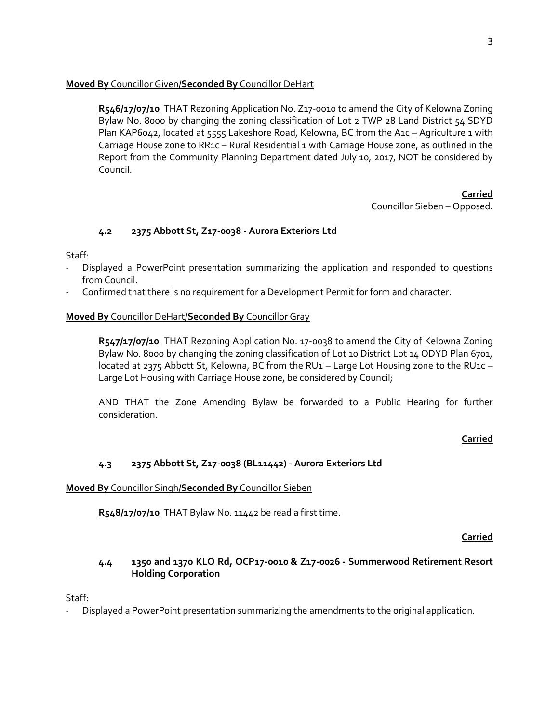## **Moved By** Councillor Given/**Seconded By** Councillor DeHart

**R546/17/07/10** THAT Rezoning Application No. Z17-0010 to amend the City of Kelowna Zoning Bylaw No. 8000 by changing the zoning classification of Lot 2 TWP 28 Land District 54 SDYD Plan KAP6042, located at 5555 Lakeshore Road, Kelowna, BC from the A1c - Agriculture 1 with Carriage House zone to RR1c - Rural Residential 1 with Carriage House zone, as outlined in the Report from the Community Planning Department dated July 10, 2017, NOT be considered by Council.

> **Carried** Councillor Sieben – Opposed.

## **4.2 2375 Abbott St, Z17-0038 - Aurora Exteriors Ltd**

Staff:

- Displayed a PowerPoint presentation summarizing the application and responded to questions from Council.
- Confirmed that there is no requirement for a Development Permit for form and character.

#### **Moved By** Councillor DeHart/**Seconded By** Councillor Gray

**R547/17/07/10** THAT Rezoning Application No. 17-0038 to amend the City of Kelowna Zoning Bylaw No. 8000 by changing the zoning classification of Lot 10 District Lot 14 ODYD Plan 6701, located at 2375 Abbott St, Kelowna, BC from the RU1 - Large Lot Housing zone to the RU1c -Large Lot Housing with Carriage House zone, be considered by Council;

AND THAT the Zone Amending Bylaw be forwarded to a Public Hearing for further consideration.

#### **Carried**

## **4.3 2375 Abbott St, Z17-0038 (BL11442) - Aurora Exteriors Ltd**

#### **Moved By** Councillor Singh/**Seconded By** Councillor Sieben

**R548/17/07/10** THAT Bylaw No. 11442 be read a first time.

#### **Carried**

### **4.4 1350 and 1370 KLO Rd, OCP17-0010 & Z17-0026 - Summerwood Retirement Resort Holding Corporation**

Staff:

Displayed a PowerPoint presentation summarizing the amendments to the original application.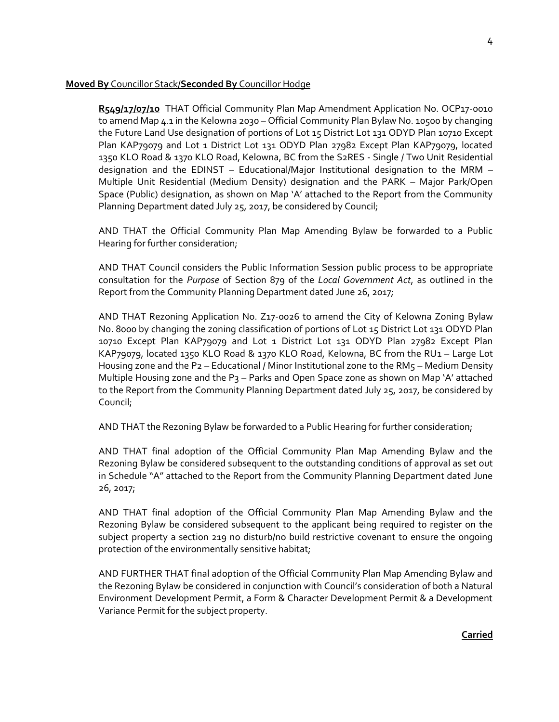#### **Moved By** Councillor Stack/**Seconded By** Councillor Hodge

**R549/17/07/10** THAT Official Community Plan Map Amendment Application No. OCP17-0010 to amend Map 4.1 in the Kelowna 2030 – Official Community Plan Bylaw No. 10500 by changing the Future Land Use designation of portions of Lot 15 District Lot 131 ODYD Plan 10710 Except Plan KAP79079 and Lot 1 District Lot 131 ODYD Plan 27982 Except Plan KAP79079, located 1350 KLO Road & 1370 KLO Road, Kelowna, BC from the S2RES - Single / Two Unit Residential designation and the EDINST – Educational/Major Institutional designation to the MRM – Multiple Unit Residential (Medium Density) designation and the PARK – Major Park/Open Space (Public) designation, as shown on Map 'A' attached to the Report from the Community Planning Department dated July 25, 2017, be considered by Council;

AND THAT the Official Community Plan Map Amending Bylaw be forwarded to a Public Hearing for further consideration;

AND THAT Council considers the Public Information Session public process to be appropriate consultation for the *Purpose* of Section 879 of the *Local Government Act*, as outlined in the Report from the Community Planning Department dated June 26, 2017;

AND THAT Rezoning Application No. Z17-0026 to amend the City of Kelowna Zoning Bylaw No. 8000 by changing the zoning classification of portions of Lot 15 District Lot 131 ODYD Plan 10710 Except Plan KAP79079 and Lot 1 District Lot 131 ODYD Plan 27982 Except Plan KAP79079, located 1350 KLO Road & 1370 KLO Road, Kelowna, BC from the RU1 – Large Lot Housing zone and the P2 – Educational / Minor Institutional zone to the RM5 – Medium Density Multiple Housing zone and the P3 – Parks and Open Space zone as shown on Map 'A' attached to the Report from the Community Planning Department dated July 25, 2017, be considered by Council;

AND THAT the Rezoning Bylaw be forwarded to a Public Hearing for further consideration;

AND THAT final adoption of the Official Community Plan Map Amending Bylaw and the Rezoning Bylaw be considered subsequent to the outstanding conditions of approval as set out in Schedule "A" attached to the Report from the Community Planning Department dated June 26, 2017;

AND THAT final adoption of the Official Community Plan Map Amending Bylaw and the Rezoning Bylaw be considered subsequent to the applicant being required to register on the subject property a section 219 no disturb/no build restrictive covenant to ensure the ongoing protection of the environmentally sensitive habitat;

AND FURTHER THAT final adoption of the Official Community Plan Map Amending Bylaw and the Rezoning Bylaw be considered in conjunction with Council's consideration of both a Natural Environment Development Permit, a Form & Character Development Permit & a Development Variance Permit for the subject property.

#### **Carried**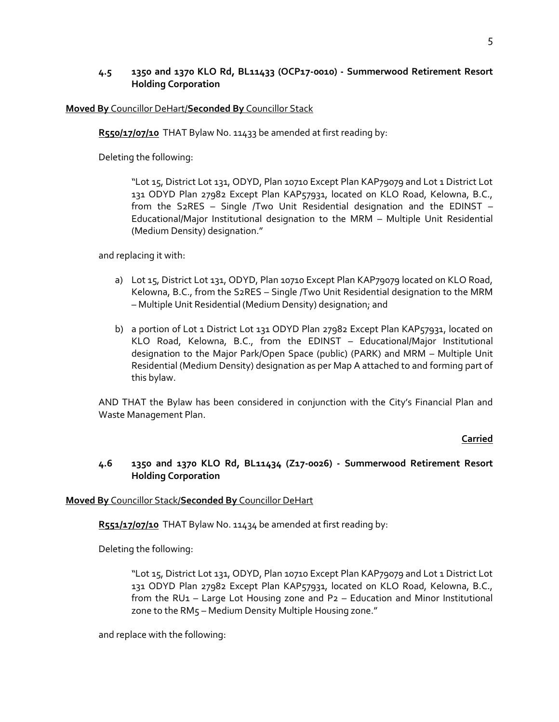### **4.5 1350 and 1370 KLO Rd, BL11433 (OCP17-0010) - Summerwood Retirement Resort Holding Corporation**

#### **Moved By** Councillor DeHart/**Seconded By** Councillor Stack

R550/17/07/10 THAT Bylaw No. 11433 be amended at first reading by:

Deleting the following:

"Lot 15, District Lot 131, ODYD, Plan 10710 Except Plan KAP79079 and Lot 1 District Lot 131 ODYD Plan 27982 Except Plan KAP57931, located on KLO Road, Kelowna, B.C., from the S2RES – Single /Two Unit Residential designation and the EDINST – Educational/Major Institutional designation to the MRM – Multiple Unit Residential (Medium Density) designation."

and replacing it with:

- a) Lot 15, District Lot 131, ODYD, Plan 10710 Except Plan KAP79079 located on KLO Road, Kelowna, B.C., from the S2RES – Single /Two Unit Residential designation to the MRM – Multiple Unit Residential (Medium Density) designation; and
- b) a portion of Lot 1 District Lot 131 ODYD Plan 27982 Except Plan KAP57931, located on KLO Road, Kelowna, B.C., from the EDINST – Educational/Major Institutional designation to the Major Park/Open Space (public) (PARK) and MRM – Multiple Unit Residential (Medium Density) designation as per Map A attached to and forming part of this bylaw.

AND THAT the Bylaw has been considered in conjunction with the City's Financial Plan and Waste Management Plan.

## **Carried**

## **4.6 1350 and 1370 KLO Rd, BL11434 (Z17-0026) - Summerwood Retirement Resort Holding Corporation**

#### **Moved By** Councillor Stack/**Seconded By** Councillor DeHart

**R551/17/07/10** THAT Bylaw No. 11434 be amended at first reading by:

Deleting the following:

"Lot 15, District Lot 131, ODYD, Plan 10710 Except Plan KAP79079 and Lot 1 District Lot 131 ODYD Plan 27982 Except Plan KAP57931, located on KLO Road, Kelowna, B.C., from the RU<sub>1</sub> – Large Lot Housing zone and P<sub>2</sub> – Education and Minor Institutional zone to the RM5 – Medium Density Multiple Housing zone."

and replace with the following: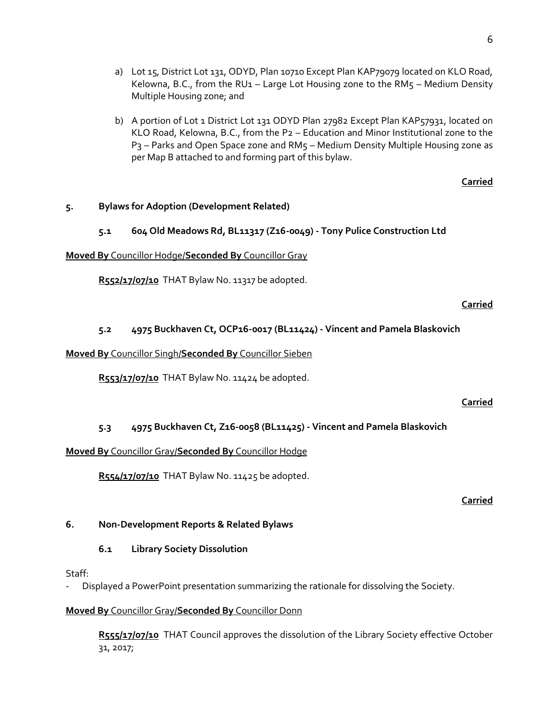- a) Lot 15, District Lot 131, ODYD, Plan 10710 Except Plan KAP79079 located on KLO Road, Kelowna, B.C., from the RU1 – Large Lot Housing zone to the RM $5$  – Medium Density Multiple Housing zone; and
- b) A portion of Lot 1 District Lot 131 ODYD Plan 27982 Except Plan KAP57931, located on KLO Road, Kelowna, B.C., from the P2 – Education and Minor Institutional zone to the P<sub>3</sub> – Parks and Open Space zone and RM<sub>5</sub> – Medium Density Multiple Housing zone as per Map B attached to and forming part of this bylaw.

#### **Carried**

### **5. Bylaws for Adoption (Development Related)**

### **5.1 604 Old Meadows Rd, BL11317 (Z16-0049) - Tony Pulice Construction Ltd**

#### **Moved By** Councillor Hodge/**Seconded By** Councillor Gray

**R552/17/07/10** THAT Bylaw No. 11317 be adopted.

#### **Carried**

## **5.2 4975 Buckhaven Ct, OCP16-0017 (BL11424) - Vincent and Pamela Blaskovich**

#### **Moved By** Councillor Singh/**Seconded By** Councillor Sieben

**R553/17/07/10** THAT Bylaw No. 11424 be adopted.

#### **Carried**

## **5.3 4975 Buckhaven Ct, Z16-0058 (BL11425) - Vincent and Pamela Blaskovich**

#### **Moved By** Councillor Gray/**Seconded By** Councillor Hodge

**R554/17/07/10** THAT Bylaw No. 11425 be adopted.

#### **Carried**

## **6. Non-Development Reports & Related Bylaws**

## **6.1 Library Society Dissolution**

Staff:

- Displayed a PowerPoint presentation summarizing the rationale for dissolving the Society.

#### **Moved By** Councillor Gray/**Seconded By** Councillor Donn

**R555/17/07/10** THAT Council approves the dissolution of the Library Society effective October 31, 2017;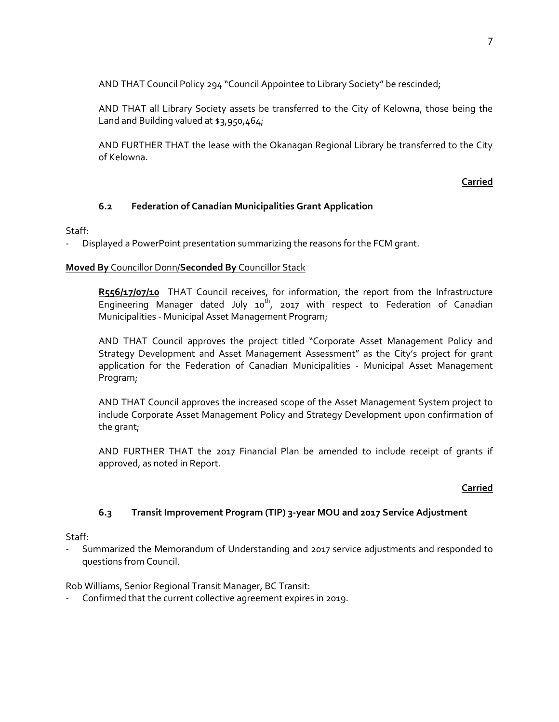AND THAT Council Policy 294 "Council Appointee to Library Society" be rescinded;

AND THAT all Library Society assets be transferred to the City of Kelowna, those being the Land and Building valued at \$3,950,464;

AND FURTHER THAT the lease with the Okanagan Regional Library be transferred to the City of Kelowna.

## **Carried**

## **6.2 Federation of Canadian Municipalities Grant Application**

## Staff:

- Displayed a PowerPoint presentation summarizing the reasons for the FCM grant.

## **Moved By** Councillor Donn/**Seconded By** Councillor Stack

R556/17/07/10 THAT Council receives, for information, the report from the Infrastructure Engineering Manager dated July  $10^{th}$ , 2017 with respect to Federation of Canadian Municipalities - Municipal Asset Management Program;

AND THAT Council approves the project titled "Corporate Asset Management Policy and Strategy Development and Asset Management Assessment" as the City's project for grant application for the Federation of Canadian Municipalities - Municipal Asset Management Program;

AND THAT Council approves the increased scope of the Asset Management System project to include Corporate Asset Management Policy and Strategy Development upon confirmation of the grant;

AND FURTHER THAT the 2017 Financial Plan be amended to include receipt of grants if approved, as noted in Report.

## **Carried**

## **6.3 Transit Improvement Program (TIP) 3-year MOU and 2017 Service Adjustment**

## Staff:

- Summarized the Memorandum of Understanding and 2017 service adjustments and responded to questions from Council.

Rob Williams, Senior Regional Transit Manager, BC Transit:

Confirmed that the current collective agreement expires in 2019.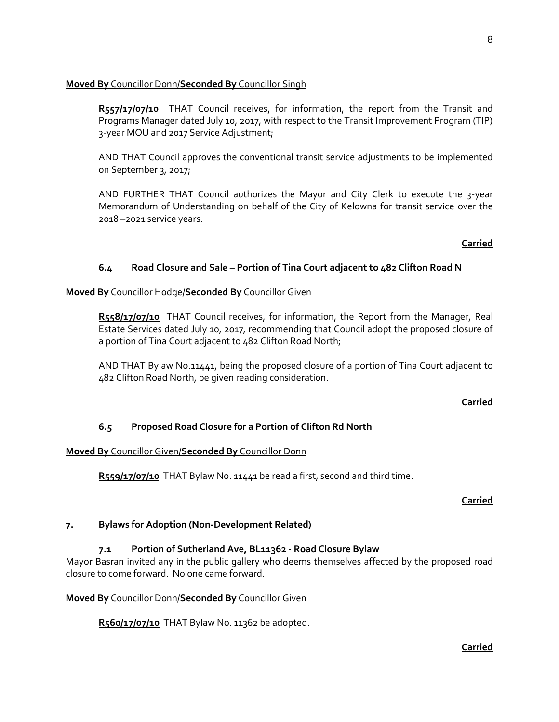### **Moved By** Councillor Donn/**Seconded By** Councillor Singh

R557/17/07/10 THAT Council receives, for information, the report from the Transit and Programs Manager dated July 10, 2017, with respect to the Transit Improvement Program (TIP) 3-year MOU and 2017 Service Adjustment;

AND THAT Council approves the conventional transit service adjustments to be implemented on September 3, 2017;

AND FURTHER THAT Council authorizes the Mayor and City Clerk to execute the 3-year Memorandum of Understanding on behalf of the City of Kelowna for transit service over the 2018 –2021 service years.

#### **Carried**

## **6.4 Road Closure and Sale – Portion of Tina Court adjacent to 482 Clifton Road N**

#### **Moved By** Councillor Hodge/**Seconded By** Councillor Given

**R558/17/07/10** THAT Council receives, for information, the Report from the Manager, Real Estate Services dated July 10, 2017, recommending that Council adopt the proposed closure of a portion of Tina Court adjacent to 482 Clifton Road North;

AND THAT Bylaw No.11441, being the proposed closure of a portion of Tina Court adjacent to 482 Clifton Road North, be given reading consideration.

#### **Carried**

#### **6.5 Proposed Road Closure for a Portion of Clifton Rd North**

#### **Moved By** Councillor Given/**Seconded By** Councillor Donn

**R559/17/07/10** THAT Bylaw No. 11441 be read a first, second and third time.

#### **Carried**

#### **7. Bylaws for Adoption (Non-Development Related)**

## **7.1 Portion of Sutherland Ave, BL11362 - Road Closure Bylaw**

Mayor Basran invited any in the public gallery who deems themselves affected by the proposed road closure to come forward. No one came forward.

#### **Moved By** Councillor Donn/**Seconded By** Councillor Given

**R560/17/07/10** THAT Bylaw No. 11362 be adopted.

8

## **Carried**